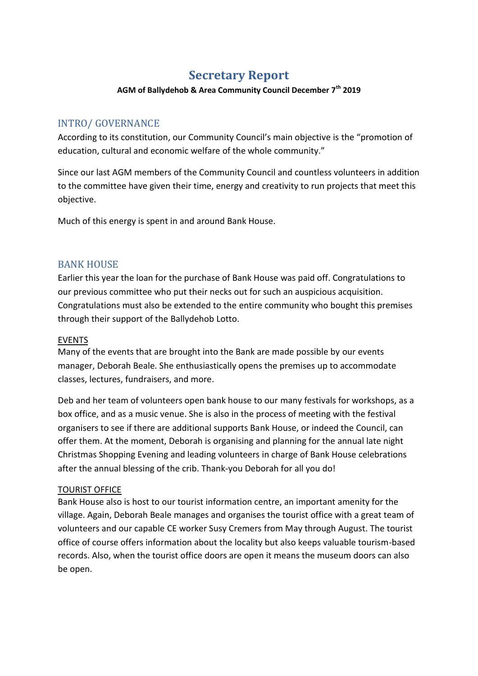# **Secretary Report**

#### **AGM of Ballydehob & Area Community Council December 7th 2019**

## INTRO/ GOVERNANCE

According to its constitution, our Community Council's main objective is the "promotion of education, cultural and economic welfare of the whole community."

Since our last AGM members of the Community Council and countless volunteers in addition to the committee have given their time, energy and creativity to run projects that meet this objective.

Much of this energy is spent in and around Bank House.

## **BANK HOUSE**

Earlier this year the loan for the purchase of Bank House was paid off. Congratulations to our previous committee who put their necks out for such an auspicious acquisition. Congratulations must also be extended to the entire community who bought this premises through their support of the Ballydehob Lotto.

## EVENTS

Many of the events that are brought into the Bank are made possible by our events manager, Deborah Beale. She enthusiastically opens the premises up to accommodate classes, lectures, fundraisers, and more.

Deb and her team of volunteers open bank house to our many festivals for workshops, as a box office, and as a music venue. She is also in the process of meeting with the festival organisers to see if there are additional supports Bank House, or indeed the Council, can offer them. At the moment, Deborah is organising and planning for the annual late night Christmas Shopping Evening and leading volunteers in charge of Bank House celebrations after the annual blessing of the crib. Thank-you Deborah for all you do!

## TOURIST OFFICE

Bank House also is host to our tourist information centre, an important amenity for the village. Again, Deborah Beale manages and organises the tourist office with a great team of volunteers and our capable CE worker Susy Cremers from May through August. The tourist office of course offers information about the locality but also keeps valuable tourism-based records. Also, when the tourist office doors are open it means the museum doors can also be open.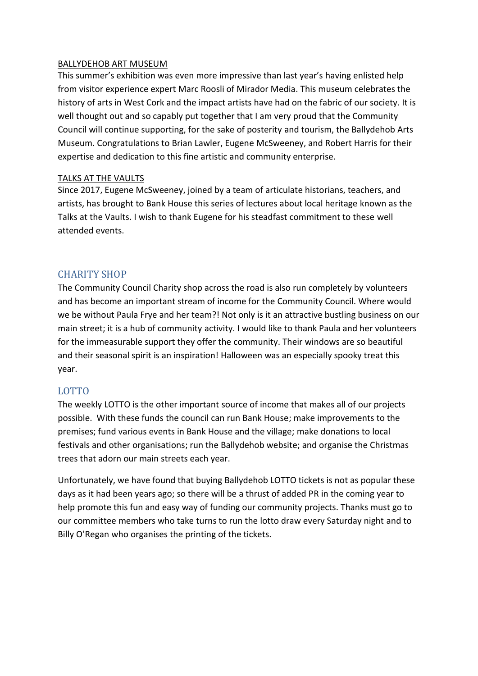#### BALLYDEHOB ART MUSEUM

This summer's exhibition was even more impressive than last year's having enlisted help from visitor experience expert Marc Roosli of Mirador Media. This museum celebrates the history of arts in West Cork and the impact artists have had on the fabric of our society. It is well thought out and so capably put together that I am very proud that the Community Council will continue supporting, for the sake of posterity and tourism, the Ballydehob Arts Museum. Congratulations to Brian Lawler, Eugene McSweeney, and Robert Harris for their expertise and dedication to this fine artistic and community enterprise.

## TALKS AT THE VAULTS

Since 2017, Eugene McSweeney, joined by a team of articulate historians, teachers, and artists, has brought to Bank House this series of lectures about local heritage known as the Talks at the Vaults. I wish to thank Eugene for his steadfast commitment to these well attended events.

## CHARITY SHOP

The Community Council Charity shop across the road is also run completely by volunteers and has become an important stream of income for the Community Council. Where would we be without Paula Frye and her team?! Not only is it an attractive bustling business on our main street; it is a hub of community activity. I would like to thank Paula and her volunteers for the immeasurable support they offer the community. Their windows are so beautiful and their seasonal spirit is an inspiration! Halloween was an especially spooky treat this year.

## LOTTO

The weekly LOTTO is the other important source of income that makes all of our projects possible. With these funds the council can run Bank House; make improvements to the premises; fund various events in Bank House and the village; make donations to local festivals and other organisations; run the Ballydehob website; and organise the Christmas trees that adorn our main streets each year.

Unfortunately, we have found that buying Ballydehob LOTTO tickets is not as popular these days as it had been years ago; so there will be a thrust of added PR in the coming year to help promote this fun and easy way of funding our community projects. Thanks must go to our committee members who take turns to run the lotto draw every Saturday night and to Billy O'Regan who organises the printing of the tickets.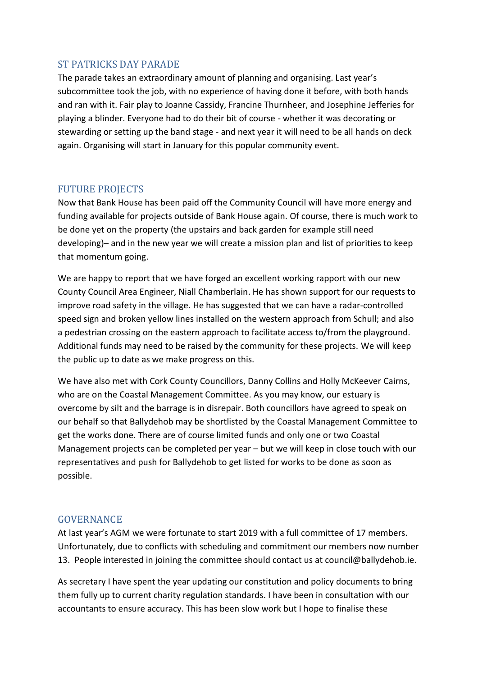## ST PATRICKS DAY PARADE

The parade takes an extraordinary amount of planning and organising. Last year's subcommittee took the job, with no experience of having done it before, with both hands and ran with it. Fair play to Joanne Cassidy, Francine Thurnheer, and Josephine Jefferies for playing a blinder. Everyone had to do their bit of course - whether it was decorating or stewarding or setting up the band stage - and next year it will need to be all hands on deck again. Organising will start in January for this popular community event.

## FUTURE PROJECTS

Now that Bank House has been paid off the Community Council will have more energy and funding available for projects outside of Bank House again. Of course, there is much work to be done yet on the property (the upstairs and back garden for example still need developing)– and in the new year we will create a mission plan and list of priorities to keep that momentum going.

We are happy to report that we have forged an excellent working rapport with our new County Council Area Engineer, Niall Chamberlain. He has shown support for our requests to improve road safety in the village. He has suggested that we can have a radar-controlled speed sign and broken yellow lines installed on the western approach from Schull; and also a pedestrian crossing on the eastern approach to facilitate access to/from the playground. Additional funds may need to be raised by the community for these projects. We will keep the public up to date as we make progress on this.

We have also met with Cork County Councillors, Danny Collins and Holly McKeever Cairns, who are on the Coastal Management Committee. As you may know, our estuary is overcome by silt and the barrage is in disrepair. Both councillors have agreed to speak on our behalf so that Ballydehob may be shortlisted by the Coastal Management Committee to get the works done. There are of course limited funds and only one or two Coastal Management projects can be completed per year – but we will keep in close touch with our representatives and push for Ballydehob to get listed for works to be done as soon as possible.

## GOVERNANCE

At last year's AGM we were fortunate to start 2019 with a full committee of 17 members. Unfortunately, due to conflicts with scheduling and commitment our members now number 13. People interested in joining the committee should contact us at council@ballydehob.ie.

As secretary I have spent the year updating our constitution and policy documents to bring them fully up to current charity regulation standards. I have been in consultation with our accountants to ensure accuracy. This has been slow work but I hope to finalise these